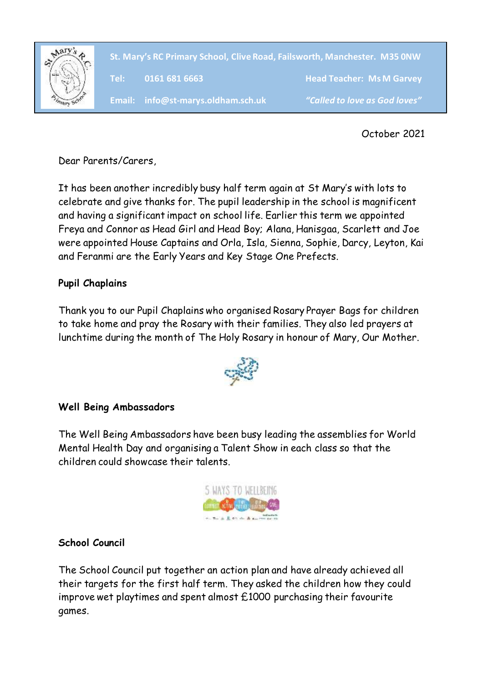

**`Head Teacher: Ms M Garvey St. Mary's RC Primary School, Clive Road, Failsworth, Manchester. M35 0NW Tel: 0161 681 6663 Head Teacher: Ms M Garvey**

October 2021

Dear Parents/Carers,

It has been another incredibly busy half term again at St Mary's with lots to celebrate and give thanks for. The pupil leadership in the school is magnificent and having a significant impact on school life. Earlier this term we appointed Freya and Connor as Head Girl and Head Boy; Alana, Hanisgaa, Scarlett and Joe were appointed House Captains and Orla, Isla, Sienna, Sophie, Darcy, Leyton, Kai and Feranmi are the Early Years and Key Stage One Prefects.

# **Pupil Chaplains**

Thank you to our Pupil Chaplains who organised Rosary Prayer Bags for children to take home and pray the Rosary with their families. They also led prayers at lunchtime during the month of The Holy Rosary in honour of Mary, Our Mother.



# **Well Being Ambassadors**

The Well Being Ambassadors have been busy leading the assemblies for World Mental Health Day and organising a Talent Show in each class so that the children could showcase their talents.



### **School Council**

The School Council put together an action plan and have already achieved all their targets for the first half term. They asked the children how they could improve wet playtimes and spent almost £1000 purchasing their favourite games.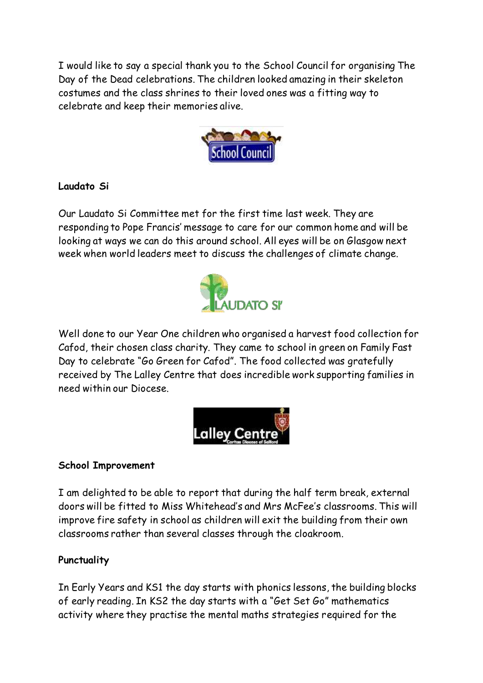I would like to say a special thank you to the School Council for organising The Day of the Dead celebrations. The children looked amazing in their skeleton costumes and the class shrines to their loved ones was a fitting way to celebrate and keep their memories alive.



## **Laudato Si**

Our Laudato Si Committee met for the first time last week. They are responding to Pope Francis' message to care for our common home and will be looking at ways we can do this around school. All eyes will be on Glasgow next week when world leaders meet to discuss the challenges of climate change.



Well done to our Year One children who organised a harvest food collection for Cafod, their chosen class charity. They came to school in green on Family Fast Day to celebrate "Go Green for Cafod". The food collected was gratefully received by The Lalley Centre that does incredible work supporting families in need within our Diocese.



### **School Improvement**

I am delighted to be able to report that during the half term break, external doors will be fitted to Miss Whitehead's and Mrs McFee's classrooms. This will improve fire safety in school as children will exit the building from their own classrooms rather than several classes through the cloakroom.

### **Punctuality**

In Early Years and KS1 the day starts with phonics lessons, the building blocks of early reading. In KS2 the day starts with a "Get Set Go" mathematics activity where they practise the mental maths strategies required for the